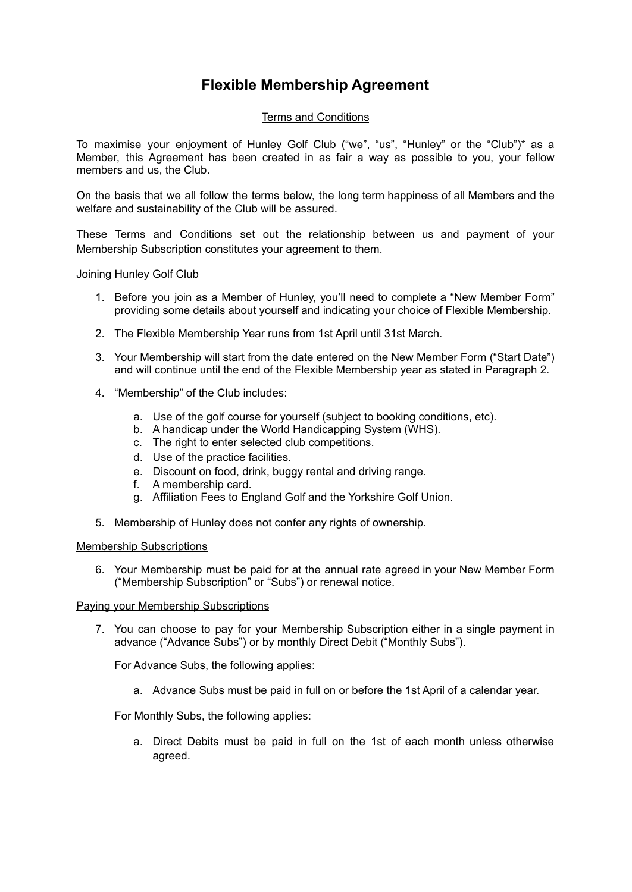# **Flexible Membership Agreement**

# Terms and Conditions

To maximise your enjoyment of Hunley Golf Club ("we", "us", "Hunley" or the "Club")\* as a Member, this Agreement has been created in as fair a way as possible to you, your fellow members and us, the Club.

On the basis that we all follow the terms below, the long term happiness of all Members and the welfare and sustainability of the Club will be assured.

These Terms and Conditions set out the relationship between us and payment of your Membership Subscription constitutes your agreement to them.

## Joining Hunley Golf Club

- 1. Before you join as a Member of Hunley, you'll need to complete a "New Member Form" providing some details about yourself and indicating your choice of Flexible Membership.
- 2. The Flexible Membership Year runs from 1st April until 31st March.
- 3. Your Membership will start from the date entered on the New Member Form ("Start Date") and will continue until the end of the Flexible Membership year as stated in Paragraph 2.
- 4. "Membership" of the Club includes:
	- a. Use of the golf course for yourself (subject to booking conditions, etc).
	- b. A handicap under the World Handicapping System (WHS).
	- c. The right to enter selected club competitions.
	- d. Use of the practice facilities.
	- e. Discount on food, drink, buggy rental and driving range.
	- f. A membership card.
	- g. Affiliation Fees to England Golf and the Yorkshire Golf Union.
- 5. Membership of Hunley does not confer any rights of ownership.

# Membership Subscriptions

6. Your Membership must be paid for at the annual rate agreed in your New Member Form ("Membership Subscription" or "Subs") or renewal notice.

# Paying your Membership Subscriptions

7. You can choose to pay for your Membership Subscription either in a single payment in advance ("Advance Subs") or by monthly Direct Debit ("Monthly Subs").

For Advance Subs, the following applies:

a. Advance Subs must be paid in full on or before the 1st April of a calendar year.

For Monthly Subs, the following applies:

a. Direct Debits must be paid in full on the 1st of each month unless otherwise agreed.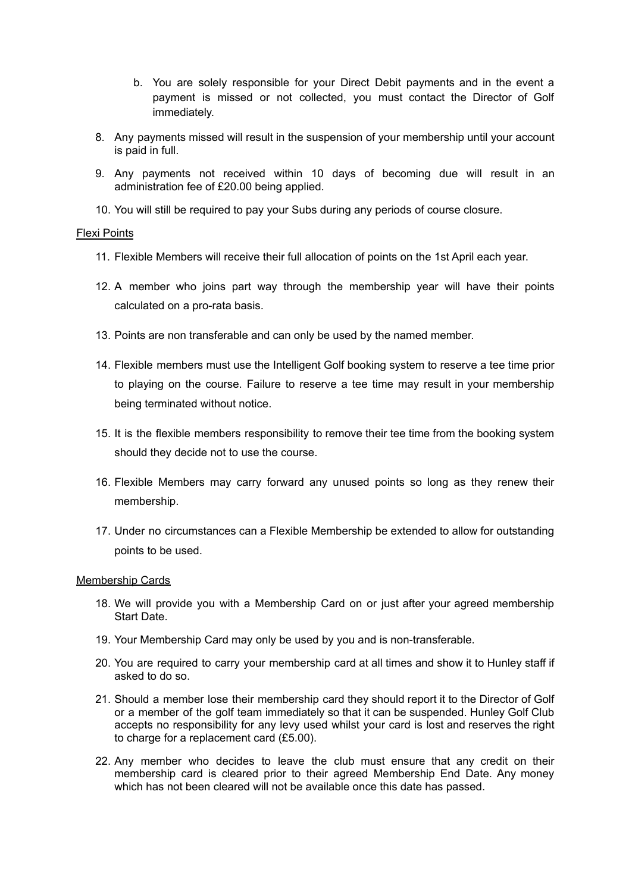- b. You are solely responsible for your Direct Debit payments and in the event a payment is missed or not collected, you must contact the Director of Golf immediately.
- 8. Any payments missed will result in the suspension of your membership until your account is paid in full.
- 9. Any payments not received within 10 days of becoming due will result in an administration fee of £20.00 being applied.
- 10. You will still be required to pay your Subs during any periods of course closure.

# Flexi Points

- 11. Flexible Members will receive their full allocation of points on the 1st April each year.
- 12. A member who joins part way through the membership year will have their points calculated on a pro-rata basis.
- 13. Points are non transferable and can only be used by the named member.
- 14. Flexible members must use the Intelligent Golf booking system to reserve a tee time prior to playing on the course. Failure to reserve a tee time may result in your membership being terminated without notice.
- 15. It is the flexible members responsibility to remove their tee time from the booking system should they decide not to use the course.
- 16. Flexible Members may carry forward any unused points so long as they renew their membership.
- 17. Under no circumstances can a Flexible Membership be extended to allow for outstanding points to be used.

# Membership Cards

- 18. We will provide you with a Membership Card on or just after your agreed membership Start Date.
- 19. Your Membership Card may only be used by you and is non-transferable.
- 20. You are required to carry your membership card at all times and show it to Hunley staff if asked to do so.
- 21. Should a member lose their membership card they should report it to the Director of Golf or a member of the golf team immediately so that it can be suspended. Hunley Golf Club accepts no responsibility for any levy used whilst your card is lost and reserves the right to charge for a replacement card (£5.00).
- 22. Any member who decides to leave the club must ensure that any credit on their membership card is cleared prior to their agreed Membership End Date. Any money which has not been cleared will not be available once this date has passed.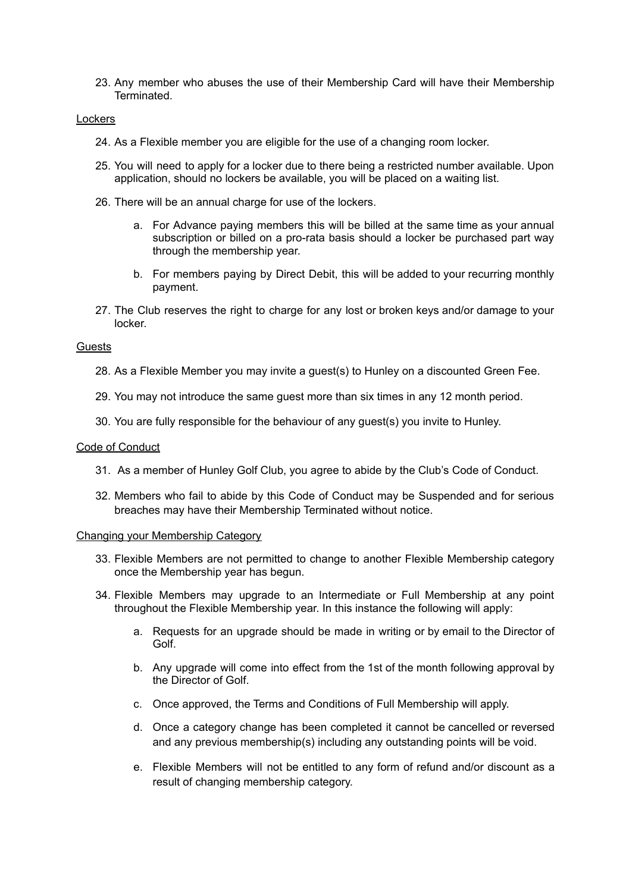23. Any member who abuses the use of their Membership Card will have their Membership **Terminated.** 

## Lockers

- 24. As a Flexible member you are eligible for the use of a changing room locker.
- 25. You will need to apply for a locker due to there being a restricted number available. Upon application, should no lockers be available, you will be placed on a waiting list.
- 26. There will be an annual charge for use of the lockers.
	- a. For Advance paying members this will be billed at the same time as your annual subscription or billed on a pro-rata basis should a locker be purchased part way through the membership year.
	- b. For members paying by Direct Debit, this will be added to your recurring monthly payment.
- 27. The Club reserves the right to charge for any lost or broken keys and/or damage to your locker.

#### **Guests**

- 28. As a Flexible Member you may invite a guest(s) to Hunley on a discounted Green Fee.
- 29. You may not introduce the same guest more than six times in any 12 month period.
- 30. You are fully responsible for the behaviour of any guest(s) you invite to Hunley.

#### Code of Conduct

- 31. As a member of Hunley Golf Club, you agree to abide by the Club's Code of Conduct.
- 32. Members who fail to abide by this Code of Conduct may be Suspended and for serious breaches may have their Membership Terminated without notice.

#### Changing your Membership Category

- 33. Flexible Members are not permitted to change to another Flexible Membership category once the Membership year has begun.
- 34. Flexible Members may upgrade to an Intermediate or Full Membership at any point throughout the Flexible Membership year. In this instance the following will apply:
	- a. Requests for an upgrade should be made in writing or by email to the Director of Golf.
	- b. Any upgrade will come into effect from the 1st of the month following approval by the Director of Golf.
	- c. Once approved, the Terms and Conditions of Full Membership will apply.
	- d. Once a category change has been completed it cannot be cancelled or reversed and any previous membership(s) including any outstanding points will be void.
	- e. Flexible Members will not be entitled to any form of refund and/or discount as a result of changing membership category.